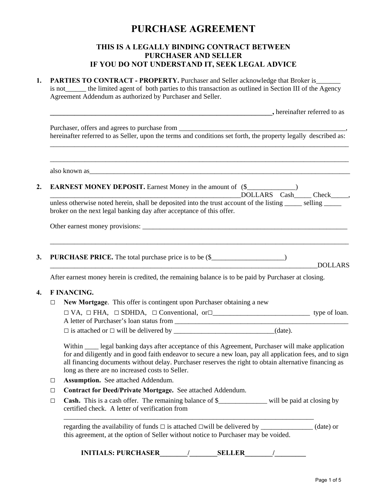# **PURCHASE AGREEMENT**

## **THIS IS A LEGALLY BINDING CONTRACT BETWEEN PURCHASER AND SELLER IF YOU DO NOT UNDERSTAND IT, SEEK LEGAL ADVICE**

| 1.     | <b>PARTIES TO CONTRACT - PROPERTY.</b> Purchaser and Seller acknowledge that Broker is _____<br>is not the limited agent of both parties to this transaction as outlined in Section III of the Agency<br>Agreement Addendum as authorized by Purchaser and Seller.                                                                                                            |  |  |
|--------|-------------------------------------------------------------------------------------------------------------------------------------------------------------------------------------------------------------------------------------------------------------------------------------------------------------------------------------------------------------------------------|--|--|
|        | <i>belief the street property benefits</i> the street property of the street property of the street property of the street property $\sim$                                                                                                                                                                                                                                    |  |  |
|        | Purchaser, offers and agrees to purchase from ___________________________________<br>hereinafter referred to as Seller, upon the terms and conditions set forth, the property legally described as:                                                                                                                                                                           |  |  |
|        |                                                                                                                                                                                                                                                                                                                                                                               |  |  |
|        | <b>EARNEST MONEY DEPOSIT.</b> Earnest Money in the amount of (\$<br>unless otherwise noted herein, shall be deposited into the trust account of the listing _____ selling _____<br>broker on the next legal banking day after acceptance of this offer.                                                                                                                       |  |  |
|        |                                                                                                                                                                                                                                                                                                                                                                               |  |  |
|        |                                                                                                                                                                                                                                                                                                                                                                               |  |  |
| 3.     | PURCHASE PRICE. The total purchase price is to be (\$<br><b>DOLLARS</b><br><u> 1980 - Johann John Stone, mars eta biztanleria (h. 1980).</u>                                                                                                                                                                                                                                  |  |  |
|        | After earnest money herein is credited, the remaining balance is to be paid by Purchaser at closing.                                                                                                                                                                                                                                                                          |  |  |
|        | <b>F INANCING.</b>                                                                                                                                                                                                                                                                                                                                                            |  |  |
| $\Box$ | New Mortgage. This offer is contingent upon Purchaser obtaining a new                                                                                                                                                                                                                                                                                                         |  |  |
|        |                                                                                                                                                                                                                                                                                                                                                                               |  |  |
|        |                                                                                                                                                                                                                                                                                                                                                                               |  |  |
|        | Within _____ legal banking days after acceptance of this Agreement, Purchaser will make application<br>for and diligently and in good faith endeavor to secure a new loan, pay all application fees, and to sign<br>all financing documents without delay. Purchaser reserves the right to obtain alternative financing as<br>long as there are no increased costs to Seller. |  |  |
| $\Box$ | <b>Assumption.</b> See attached Addendum.                                                                                                                                                                                                                                                                                                                                     |  |  |
| $\Box$ | Contract for Deed/Private Mortgage. See attached Addendum.                                                                                                                                                                                                                                                                                                                    |  |  |
| $\Box$ | Cash. This is a cash offer. The remaining balance of \$_____________ will be paid at closing by<br>certified check. A letter of verification from                                                                                                                                                                                                                             |  |  |
|        | (date) or<br>this agreement, at the option of Seller without notice to Purchaser may be voided.                                                                                                                                                                                                                                                                               |  |  |
|        | <b>INITIALS: PURCHASER</b><br><b>SELLER</b>                                                                                                                                                                                                                                                                                                                                   |  |  |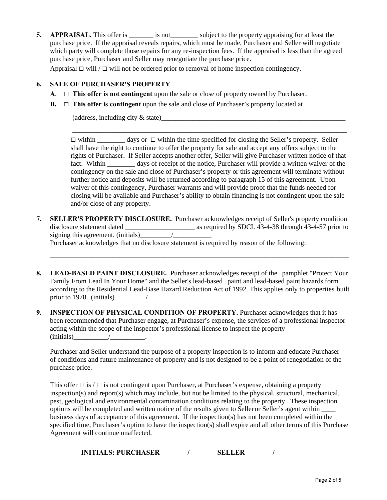**5. APPRAISAL.** This offer is is not use subject to the property appraising for at least the purchase price. If the appraisal reveals repairs, which must be made, Purchaser and Seller will negotiate which party will complete those repairs for any re-inspection fees. If the appraisal is less than the agreed purchase price, Purchaser and Seller may renegotiate the purchase price.

Appraisal **□** will / **□** will not be ordered prior to removal of home inspection contingency.

### **6. SALE OF PURCHASER'S PROPERTY**

- **A**. **□ This offer is not contingent** upon the sale or close of property owned by Purchaser.
- **B. □ This offer is contingent** upon the sale and close of Purchaser's property located at

(address, including city  $\&$  state)

**□** within \_\_\_\_\_\_\_\_ days or **□** within the time specified for closing the Seller's property. Seller shall have the right to continue to offer the property for sale and accept any offers subject to the rights of Purchaser. If Seller accepts another offer, Seller will give Purchaser written notice of that fact. Within \_\_\_\_\_\_\_\_ days of receipt of the notice, Purchaser will provide a written waiver of the contingency on the sale and close of Purchaser's property or this agreement will terminate without further notice and deposits will be returned according to paragraph 15 of this agreement. Upon waiver of this contingency, Purchaser warrants and will provide proof that the funds needed for closing will be available and Purchaser's ability to obtain financing is not contingent upon the sale and/or close of any property.

\_\_\_\_\_\_\_\_\_\_\_\_\_\_\_\_\_\_\_\_\_\_\_\_\_\_\_\_\_\_\_\_\_\_\_\_\_\_\_\_\_\_\_\_\_\_\_\_\_\_\_\_\_\_\_\_\_\_\_\_\_\_\_\_\_\_\_\_\_\_\_\_\_\_\_\_\_\_\_

**7. SELLER'S PROPERTY DISCLOSURE.** Purchaser acknowledges receipt of Seller's property condition disclosure statement dated as required by SDCL 43-4-38 through 43-4-57 prior to signing this agreement. (initials)  $\qquad$  / Purchaser acknowledges that no disclosure statement is required by reason of the following:

\_\_\_\_\_\_\_\_\_\_\_\_\_\_\_\_\_\_\_\_\_\_\_\_\_\_\_\_\_\_\_\_\_\_\_\_\_\_\_\_\_\_\_\_\_\_\_\_\_\_\_\_\_\_\_\_\_\_\_\_\_\_\_\_\_\_\_\_\_\_\_\_\_\_\_\_\_\_\_\_\_\_\_\_\_\_

- **8. LEAD-BASED PAINT DISCLOSURE.** Purchaser acknowledges receipt of the pamphlet "Protect Your Family From Lead In Your Home" and the Seller's lead-based paint and lead-based paint hazards form according to the Residential Lead-Base Hazard Reduction Act of 1992. This applies only to properties built prior to 1978. (initials)\_\_\_\_\_\_\_\_\_/\_\_\_\_\_\_\_\_\_\_\_
- **9. INSPECTION OF PHYSICAL CONDITION OF PROPERTY.** Purchaser acknowledges that it has been recommended that Purchaser engage, at Purchaser's expense, the services of a professional inspector acting within the scope of the inspector's professional license to inspect the property  $(i \text{nitials})$  /

Purchaser and Seller understand the purpose of a property inspection is to inform and educate Purchaser of conditions and future maintenance of property and is not designed to be a point of renegotiation of the purchase price.

This offer **□** is / **□** is not contingent upon Purchaser, at Purchaser's expense, obtaining a property inspection(s) and report(s) which may include, but not be limited to the physical, structural, mechanical, pest, geological and environmental contamination conditions relating to the property. These inspection options will be completed and written notice of the results given to Seller or Seller's agent within \_\_\_\_ business days of acceptance of this agreement. If the inspection(s) has not been completed within the specified time, Purchaser's option to have the inspection(s) shall expire and all other terms of this Purchase Agreement will continue unaffected.

**INITIALS: PURCHASER\_\_\_\_\_\_\_\_/\_\_\_\_\_\_\_\_SELLER\_\_\_\_\_\_\_\_/\_\_\_\_\_\_\_\_\_**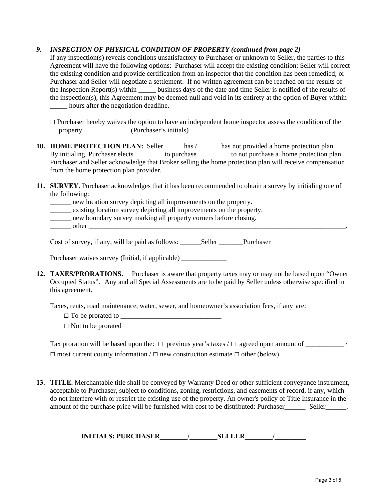## *9. INSPECTION OF PHYSICAL CONDITION OF PROPERTY (continued from page 2)*

If any inspection(s) reveals conditions unsatisfactory to Purchaser or unknown to Seller, the parties to this Agreement will have the following options: Purchaser will accept the existing condition; Seller will correct the existing condition and provide certification from an inspector that the condition has been remedied; or Purchaser and Seller will negotiate a settlement. If no written agreement can be reached on the results of the Inspection Report(s) within business days of the date and time Seller is notified of the results of the inspection(s), this Agreement may be deemed null and void in its entirety at the option of Buyer within \_\_\_\_\_ hours after the negotiation deadline.

- □ Purchaser hereby waives the option to have an independent home inspector assess the condition of the property. \_\_\_\_\_\_\_\_\_\_\_\_\_(Purchaser's initials)
- 10. HOME PROTECTION PLAN: Seller \_\_\_\_\_ has / \_\_\_\_\_ has not provided a home protection plan. By initialing, Purchaser elects \_\_\_\_\_\_\_\_ to purchase \_\_\_\_\_\_\_\_\_ to not purchase a home protection plan. Purchaser and Seller acknowledge that Broker selling the home protection plan will receive compensation from the home protection plan provider.
- **11. SURVEY.** Purchaser acknowledges that it has been recommended to obtain a survey by initialing one of the following:
	- \_\_\_\_\_\_ new location survey depicting all improvements on the property.
	- \_\_\_\_\_\_ existing location survey depicting all improvements on the property.
	- new boundary survey marking all property corners before closing.
	- other

Cost of survey, if any, will be paid as follows: \_\_\_\_\_\_Seller \_\_\_\_\_\_\_Purchaser

Purchaser waives survey (Initial, if applicable)

**12. TAXES/PRORATIONS.** Purchaser is aware that property taxes may or may not be based upon "Owner Occupied Status". Any and all Special Assessments are to be paid by Seller unless otherwise specified in this agreement.

Taxes, rents, road maintenance, water, sewer, and homeowner's association fees, if any are:

- **□** To be prorated to \_\_\_\_\_\_\_\_\_\_\_\_\_\_\_\_\_\_\_\_\_\_\_\_\_\_\_\_\_
- **□** Not to be prorated

| Tax proration will be based upon the: $\Box$ previous year's taxes / $\Box$ agreed upon amount of |  |
|---------------------------------------------------------------------------------------------------|--|
| $\Box$ most current county information / $\Box$ new construction estimate $\Box$ other (below)    |  |

\_\_\_\_\_\_\_\_\_\_\_\_\_\_\_\_\_\_\_\_\_\_\_\_\_\_\_\_\_\_\_\_\_\_\_\_\_\_\_\_\_\_\_\_\_\_\_\_\_\_\_\_\_\_\_\_\_\_\_\_\_\_\_\_\_\_\_\_\_\_\_\_\_\_\_\_\_\_\_\_\_\_\_\_\_

**13. TITLE.** Merchantable title shall be conveyed by Warranty Deed or other sufficient conveyance instrument, acceptable to Purchaser, subject to conditions, zoning, restrictions, and easements of record, if any, which do not interfere with or restrict the existing use of the property. An owner's policy of Title Insurance in the amount of the purchase price will be furnished with cost to be distributed: Purchaser\_\_\_\_\_\_ Seller\_\_\_\_\_\_.

| <b>INITIALS: PURCHASER</b> | <b>SELLER</b> |  |
|----------------------------|---------------|--|
|                            |               |  |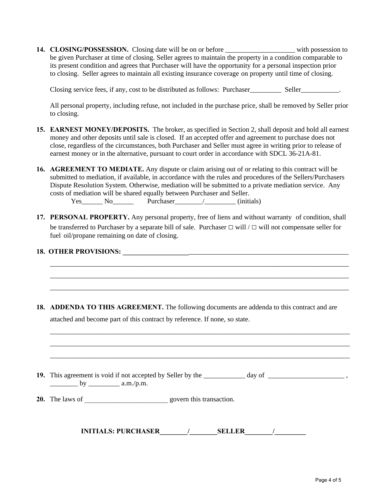**14. CLOSING/POSSESSION.** Closing date will be on or before \_\_\_\_\_\_\_\_\_\_\_\_\_\_\_\_\_\_\_\_ with possession to be given Purchaser at time of closing. Seller agrees to maintain the property in a condition comparable to its present condition and agrees that Purchaser will have the opportunity for a personal inspection prior to closing. Seller agrees to maintain all existing insurance coverage on property until time of closing.

Closing service fees, if any, cost to be distributed as follows: Purchaser Seller Seller Seller

All personal property, including refuse, not included in the purchase price, shall be removed by Seller prior to closing.

- **15. EARNEST MONEY/DEPOSITS.** The broker, as specified in Section 2, shall deposit and hold all earnest money and other deposits until sale is closed. If an accepted offer and agreement to purchase does not close, regardless of the circumstances, both Purchaser and Seller must agree in writing prior to release of earnest money or in the alternative, pursuant to court order in accordance with SDCL 36-21A-81.
- **16. AGREEMENT TO MEDIATE.** Any dispute or claim arising out of or relating to this contract will be submitted to mediation, if available, in accordance with the rules and procedures of the Sellers/Purchasers Dispute Resolution System. Otherwise, mediation will be submitted to a private mediation service. Any costs of mediation will be shared equally between Purchaser and Seller.

Yes No Purchaser / (initials)

**17. PERSONAL PROPERTY.** Any personal property, free of liens and without warranty of condition, shall be transferred to Purchaser by a separate bill of sale. Purchaser **□** will / **□** will not compensate seller for fuel oil/propane remaining on date of closing.

\_\_\_\_\_\_\_\_\_\_\_\_\_\_\_\_\_\_\_\_\_\_\_\_\_\_\_\_\_\_\_\_\_\_\_\_\_\_\_\_\_\_\_\_\_\_\_\_\_\_\_\_\_\_\_\_\_\_\_\_\_\_\_\_\_\_\_\_\_\_\_\_\_\_\_\_\_\_\_\_\_\_\_\_\_\_ \_\_\_\_\_\_\_\_\_\_\_\_\_\_\_\_\_\_\_\_\_\_\_\_\_\_\_\_\_\_\_\_\_\_\_\_\_\_\_\_\_\_\_\_\_\_\_\_\_\_\_\_\_\_\_\_\_\_\_\_\_\_\_\_\_\_\_\_\_\_\_\_\_\_\_\_\_\_\_\_\_\_\_\_\_\_ \_\_\_\_\_\_\_\_\_\_\_\_\_\_\_\_\_\_\_\_\_\_\_\_\_\_\_\_\_\_\_\_\_\_\_\_\_\_\_\_\_\_\_\_\_\_\_\_\_\_\_\_\_\_\_\_\_\_\_\_\_\_\_\_\_\_\_\_\_\_\_\_\_\_\_\_\_\_\_\_\_\_\_\_\_\_

\_\_\_\_\_\_\_\_\_\_\_\_\_\_\_\_\_\_\_\_\_\_\_\_\_\_\_\_\_\_\_\_\_\_\_\_\_\_\_\_\_\_\_\_\_\_\_\_\_\_\_\_\_\_\_\_\_\_\_\_\_\_\_\_\_\_\_\_\_\_\_\_\_\_\_\_\_\_\_\_\_\_\_\_\_\_ \_\_\_\_\_\_\_\_\_\_\_\_\_\_\_\_\_\_\_\_\_\_\_\_\_\_\_\_\_\_\_\_\_\_\_\_\_\_\_\_\_\_\_\_\_\_\_\_\_\_\_\_\_\_\_\_\_\_\_\_\_\_\_\_\_\_\_\_\_\_\_\_\_\_\_\_\_\_\_\_\_\_\_\_\_\_ \_\_\_\_\_\_\_\_\_\_\_\_\_\_\_\_\_\_\_\_\_\_\_\_\_\_\_\_\_\_\_\_\_\_\_\_\_\_\_\_\_\_\_\_\_\_\_\_\_\_\_\_\_\_\_\_\_\_\_\_\_\_\_\_\_\_\_\_\_\_\_\_\_\_\_\_\_\_\_\_\_\_\_\_\_\_

#### **18. OTHER PROVISIONS: \_\_\_\_\_\_\_\_\_\_\_\_\_\_\_\_\_\_\_**\_\_\_\_\_\_\_\_\_\_\_\_\_\_\_\_\_\_\_\_\_\_\_\_\_\_\_\_\_\_\_\_\_\_\_\_\_\_\_\_\_\_\_\_\_\_

**18. ADDENDA TO THIS AGREEMENT.** The following documents are addenda to this contract and are attached and become part of this contract by reference. If none, so state.

19. This agreement is void if not accepted by Seller by the \_\_\_\_\_\_\_\_\_\_ day of \_\_\_\_\_\_\_\_\_\_\_\_\_\_\_\_\_\_\_\_\_\_\_\_\_\_\_\_\_\_\_\_, \_\_\_\_\_\_\_\_ by \_\_\_\_\_\_\_\_\_ a.m./p.m.

**20.** The laws of \_\_\_\_\_\_\_\_\_\_\_\_\_\_\_\_\_\_\_\_\_\_\_\_ govern this transaction.

**INITIALS: PURCHASER\_\_\_\_\_\_\_\_/\_\_\_\_\_\_\_\_SELLER\_\_\_\_\_\_\_\_/\_\_\_\_\_\_\_\_\_**